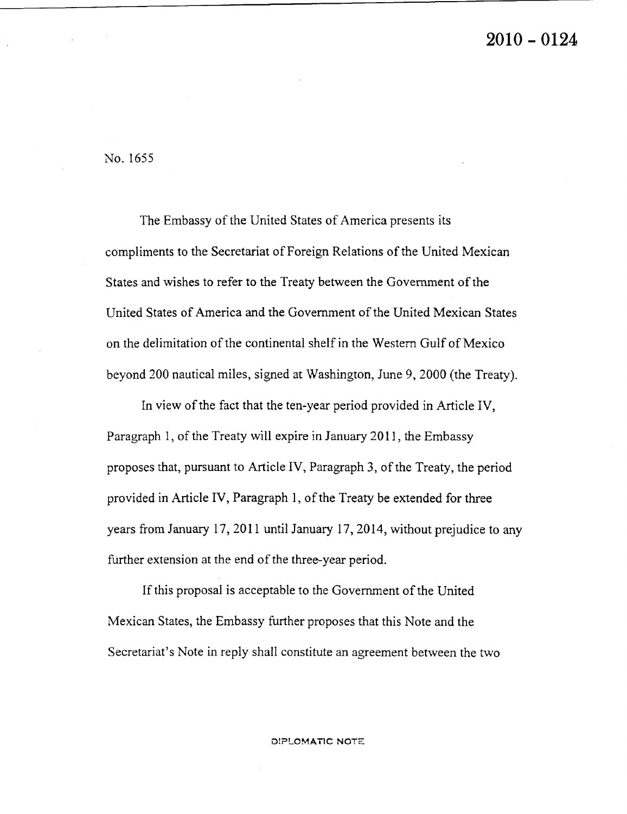## 2010 – 0124

No. 1655

The Embassy of the United States of America presents its compliments to the Secretariat of Foreign Relations of the United Mexican States and wishes to refer to the Treaty between the Government of the United States of America and the Government of the United Mexican States on the delimitation of the continental shelf in the Western Gulf of Mexico beyond 200 nautical miles, signed at Washington, June 9, 2000 (the Treaty).

In view of the fact that the ten-year period provided in Article IV, Paragraph 1, of the Treaty will expire in January 2011, the Embassy proposes that, pursuant to Article IV, Paragraph 3, of the Treaty, the period provided in Article IV, Paragraph 1, of the Treaty be extended for three years from January 17, 2011 until January 17, 2014, without prejudice to any further extension at the end of the three-year period.

If this proposal is acceptable to the Government of the United Mexican States, the Embassy further proposes that this Note and the Secretariat's Note in reply shall constitute an agreement between the two

DIPLOMATIC NOTE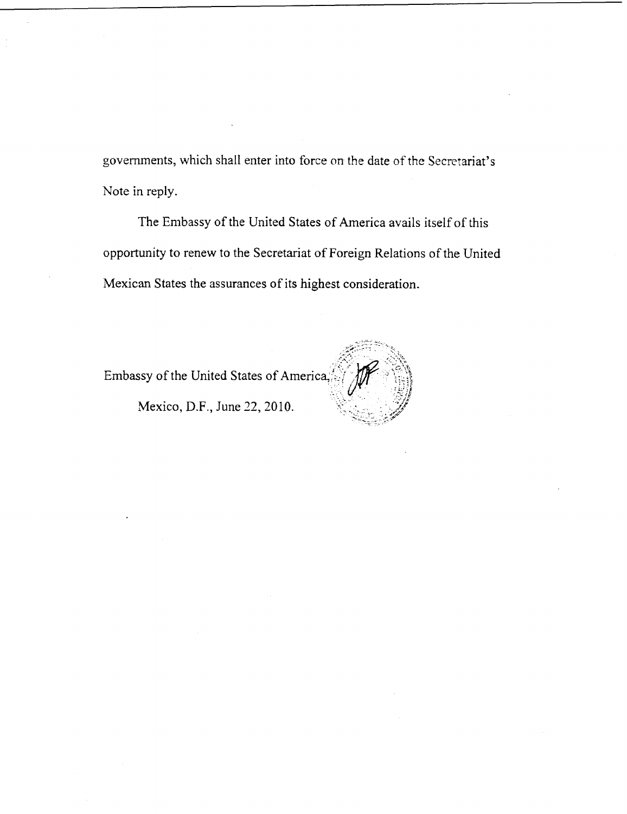governments, which shall enter into force on the date of the Secretariat's Note in reply.

The Embassy of the United States of America avails itself of this opportunity to renew to the Secretariat of Foreign Relations of the United Mexican States the assurances of its highest consideration.